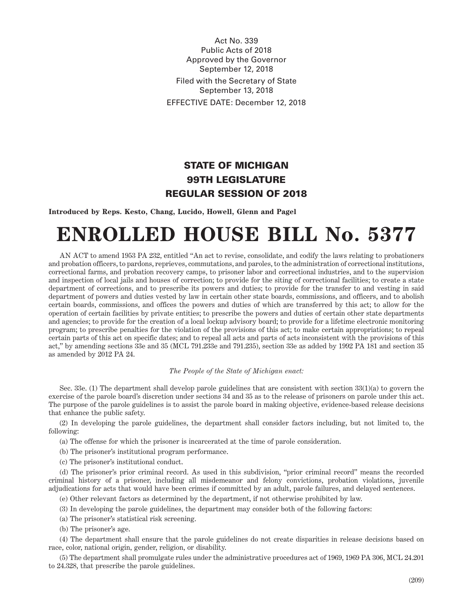Act No. 339 Public Acts of 2018 Approved by the Governor September 12, 2018 Filed with the Secretary of State September 13, 2018 EFFECTIVE DATE: December 12, 2018

## STATE OF MICHIGAN 99TH LEGISLATURE REGULAR SESSION OF 2018

**Introduced by Reps. Kesto, Chang, Lucido, Howell, Glenn and Pagel**

## **ENROLLED HOUSE BILL No. 5377**

AN ACT to amend 1953 PA 232, entitled "An act to revise, consolidate, and codify the laws relating to probationers and probation officers, to pardons, reprieves, commutations, and paroles, to the administration of correctional institutions, correctional farms, and probation recovery camps, to prisoner labor and correctional industries, and to the supervision and inspection of local jails and houses of correction; to provide for the siting of correctional facilities; to create a state department of corrections, and to prescribe its powers and duties; to provide for the transfer to and vesting in said department of powers and duties vested by law in certain other state boards, commissions, and officers, and to abolish certain boards, commissions, and offices the powers and duties of which are transferred by this act; to allow for the operation of certain facilities by private entities; to prescribe the powers and duties of certain other state departments and agencies; to provide for the creation of a local lockup advisory board; to provide for a lifetime electronic monitoring program; to prescribe penalties for the violation of the provisions of this act; to make certain appropriations; to repeal certain parts of this act on specific dates; and to repeal all acts and parts of acts inconsistent with the provisions of this act," by amending sections 33e and 35 (MCL 791.233e and 791.235), section 33e as added by 1992 PA 181 and section 35 as amended by 2012 PA 24.

## *The People of the State of Michigan enact:*

Sec. 33e. (1) The department shall develop parole guidelines that are consistent with section 33(1)(a) to govern the exercise of the parole board's discretion under sections 34 and 35 as to the release of prisoners on parole under this act. The purpose of the parole guidelines is to assist the parole board in making objective, evidence-based release decisions that enhance the public safety.

(2) In developing the parole guidelines, the department shall consider factors including, but not limited to, the following:

- (a) The offense for which the prisoner is incarcerated at the time of parole consideration.
- (b) The prisoner's institutional program performance.
- (c) The prisoner's institutional conduct.

(d) The prisoner's prior criminal record. As used in this subdivision, "prior criminal record" means the recorded criminal history of a prisoner, including all misdemeanor and felony convictions, probation violations, juvenile adjudications for acts that would have been crimes if committed by an adult, parole failures, and delayed sentences.

(e) Other relevant factors as determined by the department, if not otherwise prohibited by law.

- (3) In developing the parole guidelines, the department may consider both of the following factors:
- (a) The prisoner's statistical risk screening.
- (b) The prisoner's age.

(4) The department shall ensure that the parole guidelines do not create disparities in release decisions based on race, color, national origin, gender, religion, or disability.

(5) The department shall promulgate rules under the administrative procedures act of 1969, 1969 PA 306, MCL 24.201 to 24.328, that prescribe the parole guidelines.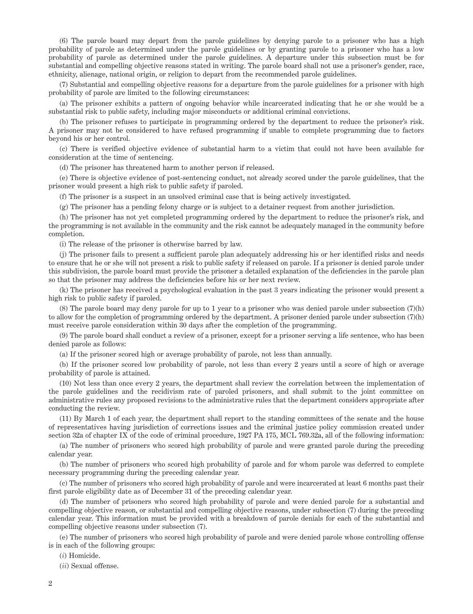(6) The parole board may depart from the parole guidelines by denying parole to a prisoner who has a high probability of parole as determined under the parole guidelines or by granting parole to a prisoner who has a low probability of parole as determined under the parole guidelines. A departure under this subsection must be for substantial and compelling objective reasons stated in writing. The parole board shall not use a prisoner's gender, race, ethnicity, alienage, national origin, or religion to depart from the recommended parole guidelines.

(7) Substantial and compelling objective reasons for a departure from the parole guidelines for a prisoner with high probability of parole are limited to the following circumstances:

(a) The prisoner exhibits a pattern of ongoing behavior while incarcerated indicating that he or she would be a substantial risk to public safety, including major misconducts or additional criminal convictions.

(b) The prisoner refuses to participate in programming ordered by the department to reduce the prisoner's risk. A prisoner may not be considered to have refused programming if unable to complete programming due to factors beyond his or her control.

(c) There is verified objective evidence of substantial harm to a victim that could not have been available for consideration at the time of sentencing.

(d) The prisoner has threatened harm to another person if released.

(e) There is objective evidence of post-sentencing conduct, not already scored under the parole guidelines, that the prisoner would present a high risk to public safety if paroled.

(f) The prisoner is a suspect in an unsolved criminal case that is being actively investigated.

(g) The prisoner has a pending felony charge or is subject to a detainer request from another jurisdiction.

(h) The prisoner has not yet completed programming ordered by the department to reduce the prisoner's risk, and the programming is not available in the community and the risk cannot be adequately managed in the community before completion.

(i) The release of the prisoner is otherwise barred by law.

(j) The prisoner fails to present a sufficient parole plan adequately addressing his or her identified risks and needs to ensure that he or she will not present a risk to public safety if released on parole. If a prisoner is denied parole under this subdivision, the parole board must provide the prisoner a detailed explanation of the deficiencies in the parole plan so that the prisoner may address the deficiencies before his or her next review.

(k) The prisoner has received a psychological evaluation in the past 3 years indicating the prisoner would present a high risk to public safety if paroled.

(8) The parole board may deny parole for up to 1 year to a prisoner who was denied parole under subsection (7)(h) to allow for the completion of programming ordered by the department. A prisoner denied parole under subsection (7)(h) must receive parole consideration within 30 days after the completion of the programming.

(9) The parole board shall conduct a review of a prisoner, except for a prisoner serving a life sentence, who has been denied parole as follows:

(a) If the prisoner scored high or average probability of parole, not less than annually.

(b) If the prisoner scored low probability of parole, not less than every 2 years until a score of high or average probability of parole is attained.

(10) Not less than once every 2 years, the department shall review the correlation between the implementation of the parole guidelines and the recidivism rate of paroled prisoners, and shall submit to the joint committee on administrative rules any proposed revisions to the administrative rules that the department considers appropriate after conducting the review.

(11) By March 1 of each year, the department shall report to the standing committees of the senate and the house of representatives having jurisdiction of corrections issues and the criminal justice policy commission created under section 32a of chapter IX of the code of criminal procedure, 1927 PA 175, MCL 769.32a, all of the following information:

(a) The number of prisoners who scored high probability of parole and were granted parole during the preceding calendar year.

(b) The number of prisoners who scored high probability of parole and for whom parole was deferred to complete necessary programming during the preceding calendar year.

(c) The number of prisoners who scored high probability of parole and were incarcerated at least 6 months past their first parole eligibility date as of December 31 of the preceding calendar year.

(d) The number of prisoners who scored high probability of parole and were denied parole for a substantial and compelling objective reason, or substantial and compelling objective reasons, under subsection (7) during the preceding calendar year. This information must be provided with a breakdown of parole denials for each of the substantial and compelling objective reasons under subsection (7).

(e) The number of prisoners who scored high probability of parole and were denied parole whose controlling offense is in each of the following groups:

(*i*) Homicide.

(*ii*) Sexual offense.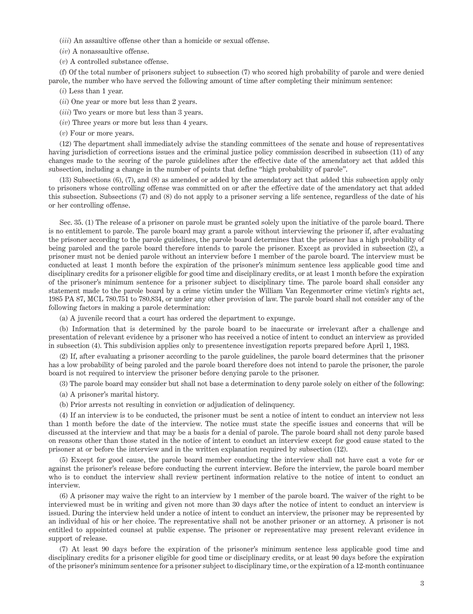(*iii*) An assaultive offense other than a homicide or sexual offense.

(*iv*) A nonassaultive offense.

(*v*) A controlled substance offense.

(f) Of the total number of prisoners subject to subsection (7) who scored high probability of parole and were denied parole, the number who have served the following amount of time after completing their minimum sentence:

(*i*) Less than 1 year.

(*ii*) One year or more but less than 2 years.

(*iii*) Two years or more but less than 3 years.

(*iv*) Three years or more but less than 4 years.

(*v*) Four or more years.

(12) The department shall immediately advise the standing committees of the senate and house of representatives having jurisdiction of corrections issues and the criminal justice policy commission described in subsection (11) of any changes made to the scoring of the parole guidelines after the effective date of the amendatory act that added this subsection, including a change in the number of points that define "high probability of parole".

(13) Subsections (6), (7), and (8) as amended or added by the amendatory act that added this subsection apply only to prisoners whose controlling offense was committed on or after the effective date of the amendatory act that added this subsection. Subsections (7) and (8) do not apply to a prisoner serving a life sentence, regardless of the date of his or her controlling offense.

Sec. 35. (1) The release of a prisoner on parole must be granted solely upon the initiative of the parole board. There is no entitlement to parole. The parole board may grant a parole without interviewing the prisoner if, after evaluating the prisoner according to the parole guidelines, the parole board determines that the prisoner has a high probability of being paroled and the parole board therefore intends to parole the prisoner. Except as provided in subsection (2), a prisoner must not be denied parole without an interview before 1 member of the parole board. The interview must be conducted at least 1 month before the expiration of the prisoner's minimum sentence less applicable good time and disciplinary credits for a prisoner eligible for good time and disciplinary credits, or at least 1 month before the expiration of the prisoner's minimum sentence for a prisoner subject to disciplinary time. The parole board shall consider any statement made to the parole board by a crime victim under the William Van Regenmorter crime victim's rights act, 1985 PA 87, MCL 780.751 to 780.834, or under any other provision of law. The parole board shall not consider any of the following factors in making a parole determination:

(a) A juvenile record that a court has ordered the department to expunge.

(b) Information that is determined by the parole board to be inaccurate or irrelevant after a challenge and presentation of relevant evidence by a prisoner who has received a notice of intent to conduct an interview as provided in subsection (4). This subdivision applies only to presentence investigation reports prepared before April 1, 1983.

(2) If, after evaluating a prisoner according to the parole guidelines, the parole board determines that the prisoner has a low probability of being paroled and the parole board therefore does not intend to parole the prisoner, the parole board is not required to interview the prisoner before denying parole to the prisoner.

(3) The parole board may consider but shall not base a determination to deny parole solely on either of the following:

(a) A prisoner's marital history.

(b) Prior arrests not resulting in conviction or adjudication of delinquency.

(4) If an interview is to be conducted, the prisoner must be sent a notice of intent to conduct an interview not less than 1 month before the date of the interview. The notice must state the specific issues and concerns that will be discussed at the interview and that may be a basis for a denial of parole. The parole board shall not deny parole based on reasons other than those stated in the notice of intent to conduct an interview except for good cause stated to the prisoner at or before the interview and in the written explanation required by subsection (12).

(5) Except for good cause, the parole board member conducting the interview shall not have cast a vote for or against the prisoner's release before conducting the current interview. Before the interview, the parole board member who is to conduct the interview shall review pertinent information relative to the notice of intent to conduct an interview.

(6) A prisoner may waive the right to an interview by 1 member of the parole board. The waiver of the right to be interviewed must be in writing and given not more than 30 days after the notice of intent to conduct an interview is issued. During the interview held under a notice of intent to conduct an interview, the prisoner may be represented by an individual of his or her choice. The representative shall not be another prisoner or an attorney. A prisoner is not entitled to appointed counsel at public expense. The prisoner or representative may present relevant evidence in support of release.

(7) At least 90 days before the expiration of the prisoner's minimum sentence less applicable good time and disciplinary credits for a prisoner eligible for good time or disciplinary credits, or at least 90 days before the expiration of the prisoner's minimum sentence for a prisoner subject to disciplinary time, or the expiration of a 12-month continuance